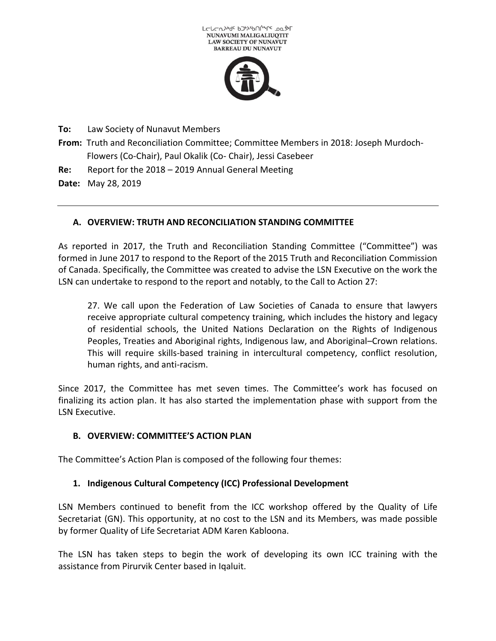



**To:** Law Society of Nunavut Members

**From:** Truth and Reconciliation Committee; Committee Members in 2018: Joseph Murdoch-Flowers (Co-Chair), Paul Okalik (Co- Chair), Jessi Casebeer

**Re:** Report for the 2018 – 2019 Annual General Meeting

**Date:** May 28, 2019

# **A. OVERVIEW: TRUTH AND RECONCILIATION STANDING COMMITTEE**

As reported in 2017, the Truth and Reconciliation Standing Committee ("Committee") was formed in June 2017 to respond to the Report of the 2015 Truth and Reconciliation Commission of Canada. Specifically, the Committee was created to advise the LSN Executive on the work the LSN can undertake to respond to the report and notably, to the Call to Action 27:

27. We call upon the Federation of Law Societies of Canada to ensure that lawyers receive appropriate cultural competency training, which includes the history and legacy of residential schools, the United Nations Declaration on the Rights of Indigenous Peoples, Treaties and Aboriginal rights, Indigenous law, and Aboriginal–Crown relations. This will require skills-based training in intercultural competency, conflict resolution, human rights, and anti-racism.

Since 2017, the Committee has met seven times. The Committee's work has focused on finalizing its action plan. It has also started the implementation phase with support from the LSN Executive.

#### **B. OVERVIEW: COMMITTEE'S ACTION PLAN**

The Committee's Action Plan is composed of the following four themes:

# **1. Indigenous Cultural Competency (ICC) Professional Development**

LSN Members continued to benefit from the ICC workshop offered by the Quality of Life Secretariat (GN). This opportunity, at no cost to the LSN and its Members, was made possible by former Quality of Life Secretariat ADM Karen Kabloona.

The LSN has taken steps to begin the work of developing its own ICC training with the assistance from Pirurvik Center based in Iqaluit.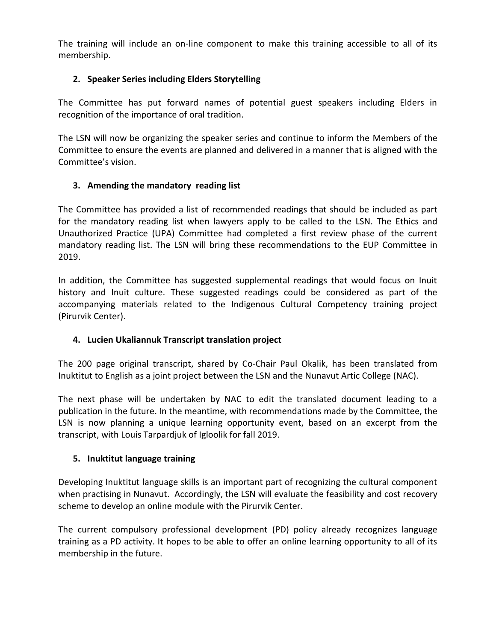The training will include an on-line component to make this training accessible to all of its membership.

## **2. Speaker Series including Elders Storytelling**

The Committee has put forward names of potential guest speakers including Elders in recognition of the importance of oral tradition.

The LSN will now be organizing the speaker series and continue to inform the Members of the Committee to ensure the events are planned and delivered in a manner that is aligned with the Committee's vision.

### **3. Amending the mandatory reading list**

The Committee has provided a list of recommended readings that should be included as part for the mandatory reading list when lawyers apply to be called to the LSN. The Ethics and Unauthorized Practice (UPA) Committee had completed a first review phase of the current mandatory reading list. The LSN will bring these recommendations to the EUP Committee in 2019.

In addition, the Committee has suggested supplemental readings that would focus on Inuit history and Inuit culture. These suggested readings could be considered as part of the accompanying materials related to the Indigenous Cultural Competency training project (Pirurvik Center).

# **4. Lucien Ukaliannuk Transcript translation project**

The 200 page original transcript, shared by Co-Chair Paul Okalik, has been translated from Inuktitut to English as a joint project between the LSN and the Nunavut Artic College (NAC).

The next phase will be undertaken by NAC to edit the translated document leading to a publication in the future. In the meantime, with recommendations made by the Committee, the LSN is now planning a unique learning opportunity event, based on an excerpt from the transcript, with Louis Tarpardjuk of Igloolik for fall 2019.

#### **5. Inuktitut language training**

Developing Inuktitut language skills is an important part of recognizing the cultural component when practising in Nunavut. Accordingly, the LSN will evaluate the feasibility and cost recovery scheme to develop an online module with the Pirurvik Center.

The current compulsory professional development (PD) policy already recognizes language training as a PD activity. It hopes to be able to offer an online learning opportunity to all of its membership in the future.